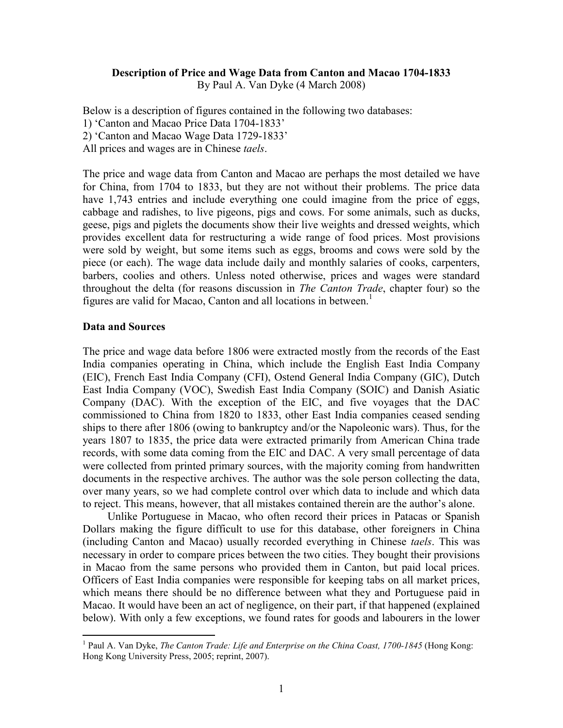## Description of Price and Wage Data from Canton and Macao 1704-1833

By Paul A. Van Dyke (4 March 2008)

Below is a description of figures contained in the following two databases:

- 1) 'Canton and Macao Price Data 1704-1833'
- 2) 'Canton and Macao Wage Data 1729-1833'
- All prices and wages are in Chinese *taels*.

The price and wage data from Canton and Macao are perhaps the most detailed we have for China, from 1704 to 1833, but they are not without their problems. The price data have 1,743 entries and include everything one could imagine from the price of eggs, cabbage and radishes, to live pigeons, pigs and cows. For some animals, such as ducks, geese, pigs and piglets the documents show their live weights and dressed weights, which provides excellent data for restructuring a wide range of food prices. Most provisions were sold by weight, but some items such as eggs, brooms and cows were sold by the piece (or each). The wage data include daily and monthly salaries of cooks, carpenters, barbers, coolies and others. Unless noted otherwise, prices and wages were standard throughout the delta (for reasons discussion in The Canton Trade, chapter four) so the figures are valid for Macao, Canton and all locations in between.<sup>1</sup>

#### Data and Sources

The price and wage data before 1806 were extracted mostly from the records of the East India companies operating in China, which include the English East India Company (EIC), French East India Company (CFI), Ostend General India Company (GIC), Dutch East India Company (VOC), Swedish East India Company (SOIC) and Danish Asiatic Company (DAC). With the exception of the EIC, and five voyages that the DAC commissioned to China from 1820 to 1833, other East India companies ceased sending ships to there after 1806 (owing to bankruptcy and/or the Napoleonic wars). Thus, for the years 1807 to 1835, the price data were extracted primarily from American China trade records, with some data coming from the EIC and DAC. A very small percentage of data were collected from printed primary sources, with the majority coming from handwritten documents in the respective archives. The author was the sole person collecting the data, over many years, so we had complete control over which data to include and which data to reject. This means, however, that all mistakes contained therein are the author's alone.

Unlike Portuguese in Macao, who often record their prices in Patacas or Spanish Dollars making the figure difficult to use for this database, other foreigners in China (including Canton and Macao) usually recorded everything in Chinese taels. This was necessary in order to compare prices between the two cities. They bought their provisions in Macao from the same persons who provided them in Canton, but paid local prices. Officers of East India companies were responsible for keeping tabs on all market prices, which means there should be no difference between what they and Portuguese paid in Macao. It would have been an act of negligence, on their part, if that happened (explained below). With only a few exceptions, we found rates for goods and labourers in the lower

<sup>&</sup>lt;sup>1</sup> Paul A. Van Dyke, *The Canton Trade: Life and Enterprise on the China Coast, 1700-1845* (Hong Kong: Hong Kong University Press, 2005; reprint, 2007).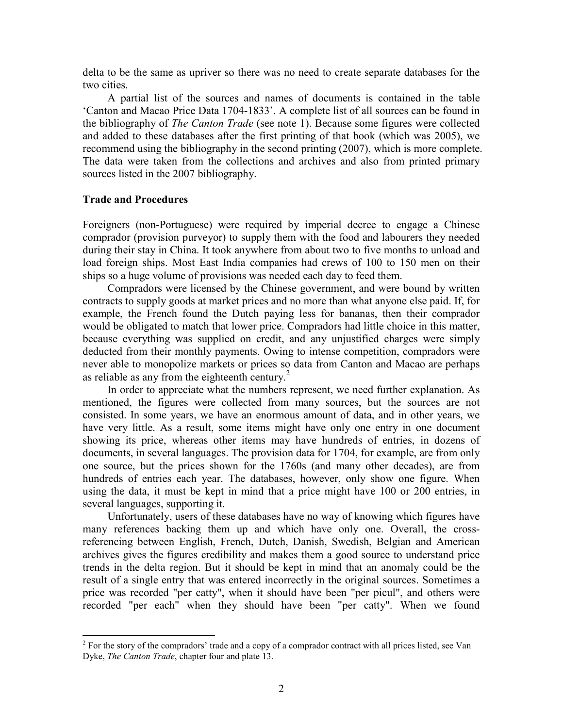delta to be the same as upriver so there was no need to create separate databases for the two cities.

A partial list of the sources and names of documents is contained in the table 'Canton and Macao Price Data 1704-1833'. A complete list of all sources can be found in the bibliography of The Canton Trade (see note 1). Because some figures were collected and added to these databases after the first printing of that book (which was 2005), we recommend using the bibliography in the second printing (2007), which is more complete. The data were taken from the collections and archives and also from printed primary sources listed in the 2007 bibliography.

## Trade and Procedures

Foreigners (non-Portuguese) were required by imperial decree to engage a Chinese comprador (provision purveyor) to supply them with the food and labourers they needed during their stay in China. It took anywhere from about two to five months to unload and load foreign ships. Most East India companies had crews of 100 to 150 men on their ships so a huge volume of provisions was needed each day to feed them.

Compradors were licensed by the Chinese government, and were bound by written contracts to supply goods at market prices and no more than what anyone else paid. If, for example, the French found the Dutch paying less for bananas, then their comprador would be obligated to match that lower price. Compradors had little choice in this matter, because everything was supplied on credit, and any unjustified charges were simply deducted from their monthly payments. Owing to intense competition, compradors were never able to monopolize markets or prices so data from Canton and Macao are perhaps as reliable as any from the eighteenth century. $^{2}$ 

In order to appreciate what the numbers represent, we need further explanation. As mentioned, the figures were collected from many sources, but the sources are not consisted. In some years, we have an enormous amount of data, and in other years, we have very little. As a result, some items might have only one entry in one document showing its price, whereas other items may have hundreds of entries, in dozens of documents, in several languages. The provision data for 1704, for example, are from only one source, but the prices shown for the 1760s (and many other decades), are from hundreds of entries each year. The databases, however, only show one figure. When using the data, it must be kept in mind that a price might have 100 or 200 entries, in several languages, supporting it.

Unfortunately, users of these databases have no way of knowing which figures have many references backing them up and which have only one. Overall, the crossreferencing between English, French, Dutch, Danish, Swedish, Belgian and American archives gives the figures credibility and makes them a good source to understand price trends in the delta region. But it should be kept in mind that an anomaly could be the result of a single entry that was entered incorrectly in the original sources. Sometimes a price was recorded "per catty", when it should have been "per picul", and others were recorded "per each" when they should have been "per catty". When we found

<sup>&</sup>lt;sup>2</sup> For the story of the compradors' trade and a copy of a comprador contract with all prices listed, see Van Dyke, The Canton Trade, chapter four and plate 13.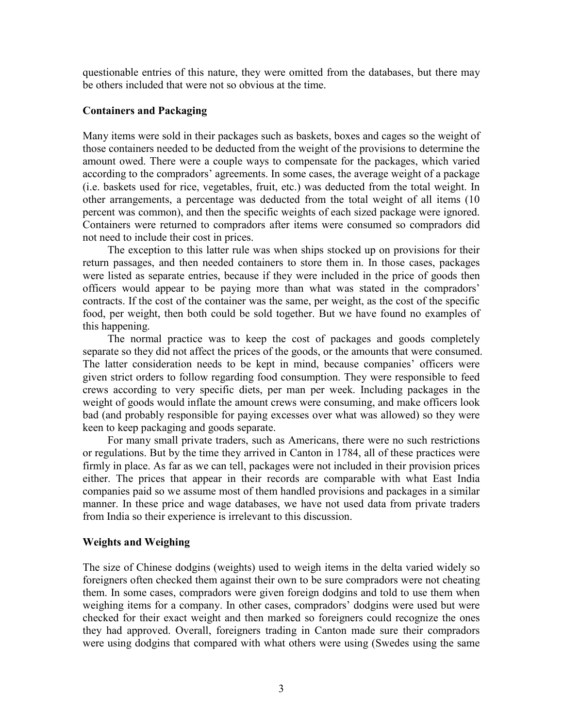questionable entries of this nature, they were omitted from the databases, but there may be others included that were not so obvious at the time.

## Containers and Packaging

Many items were sold in their packages such as baskets, boxes and cages so the weight of those containers needed to be deducted from the weight of the provisions to determine the amount owed. There were a couple ways to compensate for the packages, which varied according to the compradors' agreements. In some cases, the average weight of a package (i.e. baskets used for rice, vegetables, fruit, etc.) was deducted from the total weight. In other arrangements, a percentage was deducted from the total weight of all items (10 percent was common), and then the specific weights of each sized package were ignored. Containers were returned to compradors after items were consumed so compradors did not need to include their cost in prices.

The exception to this latter rule was when ships stocked up on provisions for their return passages, and then needed containers to store them in. In those cases, packages were listed as separate entries, because if they were included in the price of goods then officers would appear to be paying more than what was stated in the compradors' contracts. If the cost of the container was the same, per weight, as the cost of the specific food, per weight, then both could be sold together. But we have found no examples of this happening.

The normal practice was to keep the cost of packages and goods completely separate so they did not affect the prices of the goods, or the amounts that were consumed. The latter consideration needs to be kept in mind, because companies' officers were given strict orders to follow regarding food consumption. They were responsible to feed crews according to very specific diets, per man per week. Including packages in the weight of goods would inflate the amount crews were consuming, and make officers look bad (and probably responsible for paying excesses over what was allowed) so they were keen to keep packaging and goods separate.

For many small private traders, such as Americans, there were no such restrictions or regulations. But by the time they arrived in Canton in 1784, all of these practices were firmly in place. As far as we can tell, packages were not included in their provision prices either. The prices that appear in their records are comparable with what East India companies paid so we assume most of them handled provisions and packages in a similar manner. In these price and wage databases, we have not used data from private traders from India so their experience is irrelevant to this discussion.

# Weights and Weighing

The size of Chinese dodgins (weights) used to weigh items in the delta varied widely so foreigners often checked them against their own to be sure compradors were not cheating them. In some cases, compradors were given foreign dodgins and told to use them when weighing items for a company. In other cases, compradors' dodgins were used but were checked for their exact weight and then marked so foreigners could recognize the ones they had approved. Overall, foreigners trading in Canton made sure their compradors were using dodgins that compared with what others were using (Swedes using the same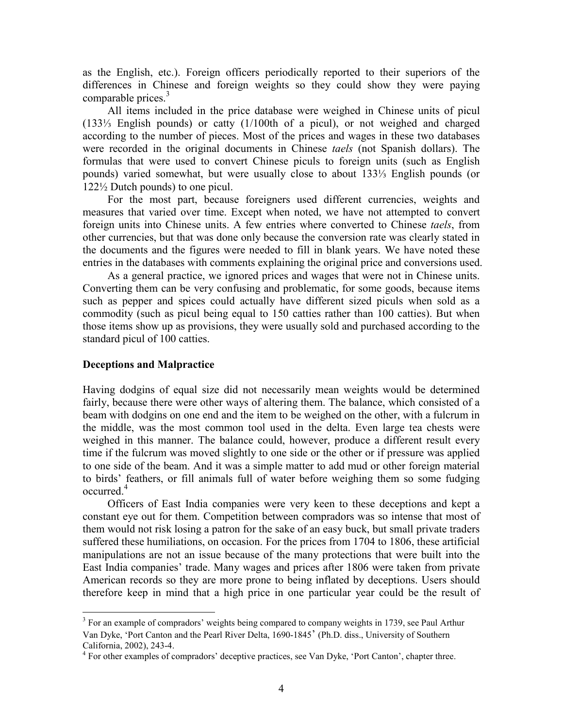as the English, etc.). Foreign officers periodically reported to their superiors of the differences in Chinese and foreign weights so they could show they were paying comparable prices.<sup>3</sup>

All items included in the price database were weighed in Chinese units of picul (133⅓ English pounds) or catty (1/100th of a picul), or not weighed and charged according to the number of pieces. Most of the prices and wages in these two databases were recorded in the original documents in Chinese *taels* (not Spanish dollars). The formulas that were used to convert Chinese piculs to foreign units (such as English pounds) varied somewhat, but were usually close to about 133⅓ English pounds (or 122½ Dutch pounds) to one picul.

For the most part, because foreigners used different currencies, weights and measures that varied over time. Except when noted, we have not attempted to convert foreign units into Chinese units. A few entries where converted to Chinese taels, from other currencies, but that was done only because the conversion rate was clearly stated in the documents and the figures were needed to fill in blank years. We have noted these entries in the databases with comments explaining the original price and conversions used.

As a general practice, we ignored prices and wages that were not in Chinese units. Converting them can be very confusing and problematic, for some goods, because items such as pepper and spices could actually have different sized piculs when sold as a commodity (such as picul being equal to 150 catties rather than 100 catties). But when those items show up as provisions, they were usually sold and purchased according to the standard picul of 100 catties.

### Deceptions and Malpractice

Having dodgins of equal size did not necessarily mean weights would be determined fairly, because there were other ways of altering them. The balance, which consisted of a beam with dodgins on one end and the item to be weighed on the other, with a fulcrum in the middle, was the most common tool used in the delta. Even large tea chests were weighed in this manner. The balance could, however, produce a different result every time if the fulcrum was moved slightly to one side or the other or if pressure was applied to one side of the beam. And it was a simple matter to add mud or other foreign material to birds' feathers, or fill animals full of water before weighing them so some fudging occurred.<sup>4</sup>

Officers of East India companies were very keen to these deceptions and kept a constant eye out for them. Competition between compradors was so intense that most of them would not risk losing a patron for the sake of an easy buck, but small private traders suffered these humiliations, on occasion. For the prices from 1704 to 1806, these artificial manipulations are not an issue because of the many protections that were built into the East India companies' trade. Many wages and prices after 1806 were taken from private American records so they are more prone to being inflated by deceptions. Users should therefore keep in mind that a high price in one particular year could be the result of

<sup>&</sup>lt;sup>3</sup> For an example of compradors' weights being compared to company weights in 1739, see Paul Arthur Van Dyke, 'Port Canton and the Pearl River Delta, 1690-1845' (Ph.D. diss., University of Southern California, 2002), 243-4.

<sup>&</sup>lt;sup>4</sup> For other examples of compradors' deceptive practices, see Van Dyke, 'Port Canton', chapter three.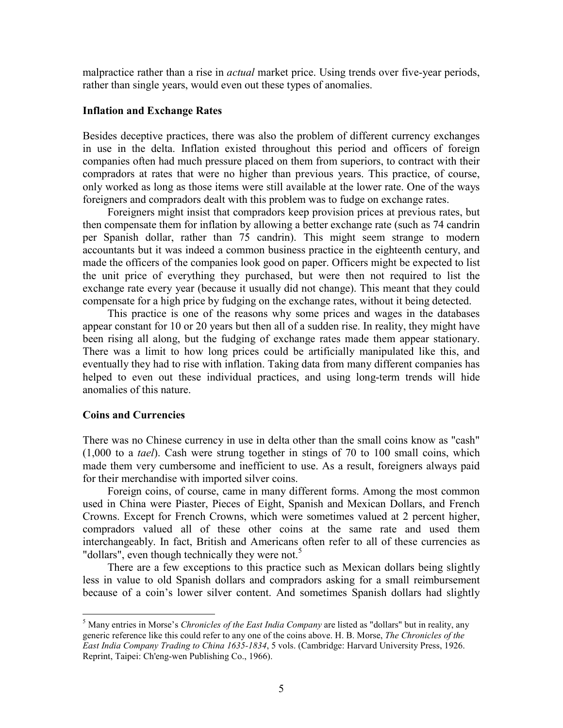malpractice rather than a rise in *actual* market price. Using trends over five-year periods, rather than single years, would even out these types of anomalies.

### Inflation and Exchange Rates

Besides deceptive practices, there was also the problem of different currency exchanges in use in the delta. Inflation existed throughout this period and officers of foreign companies often had much pressure placed on them from superiors, to contract with their compradors at rates that were no higher than previous years. This practice, of course, only worked as long as those items were still available at the lower rate. One of the ways foreigners and compradors dealt with this problem was to fudge on exchange rates.

Foreigners might insist that compradors keep provision prices at previous rates, but then compensate them for inflation by allowing a better exchange rate (such as 74 candrin per Spanish dollar, rather than 75 candrin). This might seem strange to modern accountants but it was indeed a common business practice in the eighteenth century, and made the officers of the companies look good on paper. Officers might be expected to list the unit price of everything they purchased, but were then not required to list the exchange rate every year (because it usually did not change). This meant that they could compensate for a high price by fudging on the exchange rates, without it being detected.

This practice is one of the reasons why some prices and wages in the databases appear constant for 10 or 20 years but then all of a sudden rise. In reality, they might have been rising all along, but the fudging of exchange rates made them appear stationary. There was a limit to how long prices could be artificially manipulated like this, and eventually they had to rise with inflation. Taking data from many different companies has helped to even out these individual practices, and using long-term trends will hide anomalies of this nature.

#### Coins and Currencies

 $\overline{a}$ 

There was no Chinese currency in use in delta other than the small coins know as "cash" (1,000 to a tael). Cash were strung together in stings of 70 to 100 small coins, which made them very cumbersome and inefficient to use. As a result, foreigners always paid for their merchandise with imported silver coins.

Foreign coins, of course, came in many different forms. Among the most common used in China were Piaster, Pieces of Eight, Spanish and Mexican Dollars, and French Crowns. Except for French Crowns, which were sometimes valued at 2 percent higher, compradors valued all of these other coins at the same rate and used them interchangeably. In fact, British and Americans often refer to all of these currencies as "dollars", even though technically they were not.<sup>5</sup>

There are a few exceptions to this practice such as Mexican dollars being slightly less in value to old Spanish dollars and compradors asking for a small reimbursement because of a coin's lower silver content. And sometimes Spanish dollars had slightly

 $<sup>5</sup>$  Many entries in Morse's *Chronicles of the East India Company* are listed as "dollars" but in reality, any</sup> generic reference like this could refer to any one of the coins above. H. B. Morse, The Chronicles of the East India Company Trading to China 1635-1834, 5 vols. (Cambridge: Harvard University Press, 1926. Reprint, Taipei: Ch'eng-wen Publishing Co., 1966).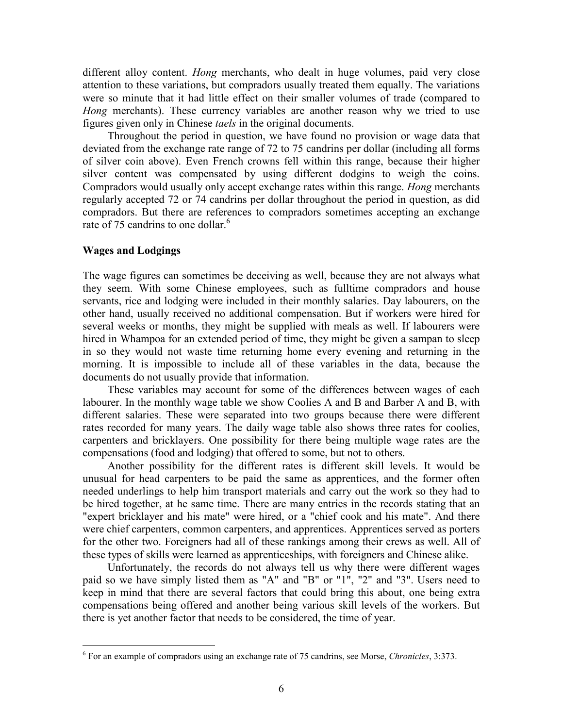different alloy content. Hong merchants, who dealt in huge volumes, paid very close attention to these variations, but compradors usually treated them equally. The variations were so minute that it had little effect on their smaller volumes of trade (compared to Hong merchants). These currency variables are another reason why we tried to use figures given only in Chinese taels in the original documents.

Throughout the period in question, we have found no provision or wage data that deviated from the exchange rate range of 72 to 75 candrins per dollar (including all forms of silver coin above). Even French crowns fell within this range, because their higher silver content was compensated by using different dodgins to weigh the coins. Compradors would usually only accept exchange rates within this range. Hong merchants regularly accepted 72 or 74 candrins per dollar throughout the period in question, as did compradors. But there are references to compradors sometimes accepting an exchange rate of 75 candrins to one dollar.<sup>6</sup>

### Wages and Lodgings

 $\overline{a}$ 

The wage figures can sometimes be deceiving as well, because they are not always what they seem. With some Chinese employees, such as fulltime compradors and house servants, rice and lodging were included in their monthly salaries. Day labourers, on the other hand, usually received no additional compensation. But if workers were hired for several weeks or months, they might be supplied with meals as well. If labourers were hired in Whampoa for an extended period of time, they might be given a sampan to sleep in so they would not waste time returning home every evening and returning in the morning. It is impossible to include all of these variables in the data, because the documents do not usually provide that information.

These variables may account for some of the differences between wages of each labourer. In the monthly wage table we show Coolies A and B and Barber A and B, with different salaries. These were separated into two groups because there were different rates recorded for many years. The daily wage table also shows three rates for coolies, carpenters and bricklayers. One possibility for there being multiple wage rates are the compensations (food and lodging) that offered to some, but not to others.

Another possibility for the different rates is different skill levels. It would be unusual for head carpenters to be paid the same as apprentices, and the former often needed underlings to help him transport materials and carry out the work so they had to be hired together, at he same time. There are many entries in the records stating that an "expert bricklayer and his mate" were hired, or a "chief cook and his mate". And there were chief carpenters, common carpenters, and apprentices. Apprentices served as porters for the other two. Foreigners had all of these rankings among their crews as well. All of these types of skills were learned as apprenticeships, with foreigners and Chinese alike.

Unfortunately, the records do not always tell us why there were different wages paid so we have simply listed them as "A" and "B" or "1", "2" and "3". Users need to keep in mind that there are several factors that could bring this about, one being extra compensations being offered and another being various skill levels of the workers. But there is yet another factor that needs to be considered, the time of year.

 $6$  For an example of compradors using an exchange rate of 75 candrins, see Morse, *Chronicles*,  $3:373$ .